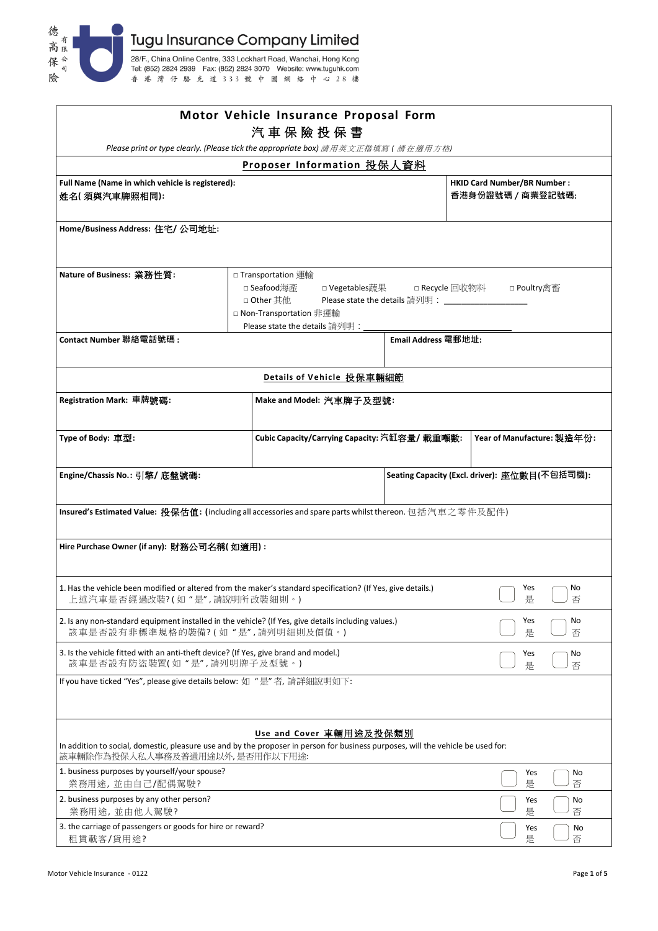

|                                                                                                                                                                    |  | Motor Vehicle Insurance Proposal Form<br>汽車保險投保書                                                              |                |                                       |                                                         |  |
|--------------------------------------------------------------------------------------------------------------------------------------------------------------------|--|---------------------------------------------------------------------------------------------------------------|----------------|---------------------------------------|---------------------------------------------------------|--|
|                                                                                                                                                                    |  | Please print or type clearly. (Please tick the appropriate box) 請用英文正楷填寫 (請在適用方格)                             |                |                                       |                                                         |  |
| Proposer Information 投保人資料<br>Full Name (Name in which vehicle is registered):<br>姓名(須與汽車牌照相同):                                                                    |  |                                                                                                               |                |                                       | <b>HKID Card Number/BR Number:</b><br>香港身份證號碼 / 商業登記號碼: |  |
| Home/Business Address: 住宅/ 公司地址:                                                                                                                                   |  |                                                                                                               |                |                                       |                                                         |  |
| Nature of Business: 業務性質:<br>Contact Number 聯絡電話號碼:                                                                                                                |  | □ Transportation 運輸<br>□ Seafood海產<br>□ Other 其他<br>□ Non-Transportation 非運輸<br>Please state the details 請列明: | □ Vegetables蔬果 | □ Recycle 回收物料<br>Email Address 電郵地址: | □ Poultry禽畜                                             |  |
|                                                                                                                                                                    |  |                                                                                                               |                |                                       |                                                         |  |
|                                                                                                                                                                    |  | Details of Vehicle 投保車輛細節                                                                                     |                |                                       |                                                         |  |
| Registration Mark: 車牌號碼:                                                                                                                                           |  | Make and Model: 汽車牌子及型號:                                                                                      |                |                                       |                                                         |  |
| Type of Body: 車型:                                                                                                                                                  |  | Cubic Capacity/Carrying Capacity: 汽缸容量/ 載重噸數:                                                                 |                |                                       | Year of Manufacture: 製造年份:                              |  |
| Engine/Chassis No.: 引擎/ 底盤號碼:                                                                                                                                      |  |                                                                                                               |                |                                       | Seating Capacity (Excl. driver): 座位數目(不包括司機):           |  |
| Insured's Estimated Value: 投保估值: (including all accessories and spare parts whilst thereon. 包括汽車之零件及配件)                                                            |  |                                                                                                               |                |                                       |                                                         |  |
| Hire Purchase Owner (if any): 財務公司名稱( 如適用) :                                                                                                                       |  |                                                                                                               |                |                                       |                                                         |  |
| 1. Has the vehicle been modified or altered from the maker's standard specification? (If Yes, give details.)<br>上述汽車是否經過改裝?(如"是",請說明所改裝細則。)                        |  |                                                                                                               |                |                                       | Yes<br>No<br>是<br>丿否                                    |  |
| 2. Is any non-standard equipment installed in the vehicle? (If Yes, give details including values.)<br>該車是否設有非標準規格的裝備?(如"是",請列明細則及價值。)                             |  |                                                                                                               |                |                                       | No<br>Yes<br>是<br>否                                     |  |
| 3. Is the vehicle fitted with an anti-theft device? (If Yes, give brand and model.)<br>該車是否設有防盜裝置(如"是",請列明牌子及型號。)                                                  |  |                                                                                                               |                |                                       | Yes<br>No<br>是<br>否                                     |  |
| If you have ticked "Yes", please give details below: 如 "是"者, 請詳細說明如下:                                                                                              |  |                                                                                                               |                |                                       |                                                         |  |
| In addition to social, domestic, pleasure use and by the proposer in person for business purposes, will the vehicle be used for:<br>該車輛除作為投保人私人事務及普通用途以外,是否用作以下用途: |  | Use and Cover 車輛用途及投保類別                                                                                       |                |                                       |                                                         |  |
| 1. business purposes by yourself/your spouse?<br>業務用途,並由自己/配偶駕駛?                                                                                                   |  |                                                                                                               |                |                                       | Yes<br>No<br>是<br>否                                     |  |
| 2. business purposes by any other person?<br>業務用途,並由他人駕駛?                                                                                                          |  |                                                                                                               |                |                                       | No<br>Yes<br>是<br>否                                     |  |
| 3. the carriage of passengers or goods for hire or reward?<br>租賃載客/貨用途?                                                                                            |  |                                                                                                               |                |                                       | Yes<br>No<br>是<br>否                                     |  |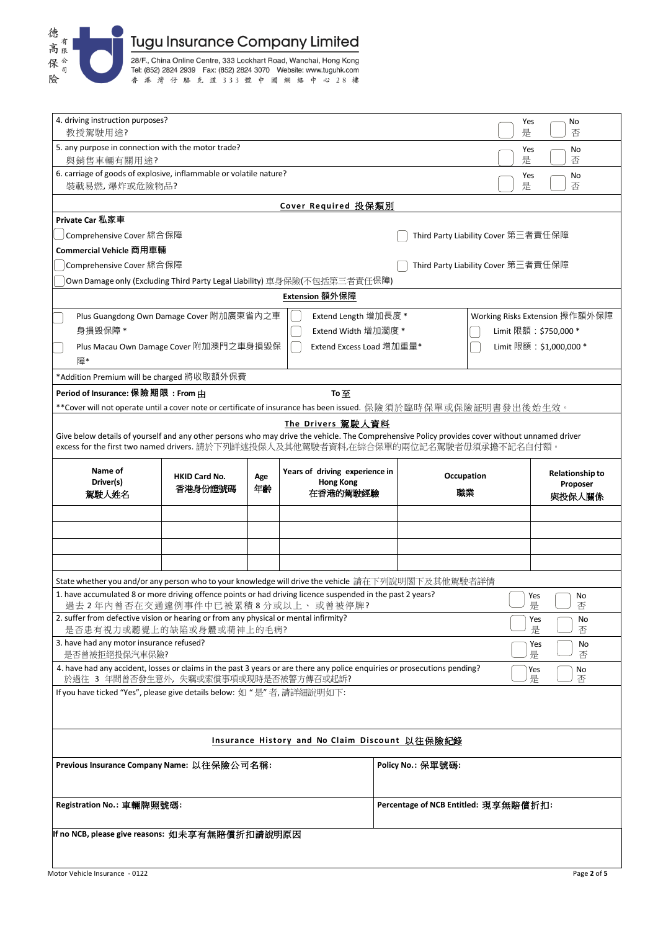

| 4. driving instruction purposes?<br>Yes<br>No<br>教授駕駛用途?<br>是<br>否<br>5. any purpose in connection with the motor trade?<br>Yes<br>No<br>是<br>否<br>與銷售車輛有關用途?<br>6. carriage of goods of explosive, inflammable or volatile nature?<br>No<br>Yes<br>否<br>裝載易燃,爆炸或危險物品?<br>是<br>Cover Required 投保類別<br>Private Car 私家車<br>Comprehensive Cover 綜合保障<br>Third Party Liability Cover 第三者責任保障<br>Commercial Vehicle 商用車輛<br>Comprehensive Cover 綜合保障<br>Third Party Liability Cover 第三者責任保障<br>Own Damage only (Excluding Third Party Legal Liability) 車身保險(不包括第三者責任保障)<br>Extension 額外保障<br>Plus Guangdong Own Damage Cover 附加廣東省內之車<br>Extend Length 增加長度 *<br>Working Risks Extension 操作額外保障<br>身損毀保障 *<br>Extend Width 增加濶度 *<br>Limit 限額: \$750,000 *<br>Limit 限額: \$1,000,000 *<br>Plus Macau Own Damage Cover 附加澳門之車身損毀保<br>Extend Excess Load 增加重量*<br>障*<br>*Addition Premium will be charged 將收取額外保費<br>Period of Insurance: 保險期限: From 由<br>To至<br>**Cover will not operate until a cover note or certificate of insurance has been issued. 保險須於臨時保單或保險証明書發出後始生效。<br>The Drivers 駕駛人資料<br>Give below details of yourself and any other persons who may drive the vehicle. The Comprehensive Policy provides cover without unnamed driver<br>excess for the first two named drivers. 請於下列詳述投保人及其他駕駛者資料,在綜合保單的兩位記名駕駛者毋須承擔不記名自付額。 |                                    |
|--------------------------------------------------------------------------------------------------------------------------------------------------------------------------------------------------------------------------------------------------------------------------------------------------------------------------------------------------------------------------------------------------------------------------------------------------------------------------------------------------------------------------------------------------------------------------------------------------------------------------------------------------------------------------------------------------------------------------------------------------------------------------------------------------------------------------------------------------------------------------------------------------------------------------------------------------------------------------------------------------------------------------------------------------------------------------------------------------------------------------------------------------------------------------------------------------------------------------------------------------------------------------------------------------------------------------------------|------------------------------------|
|                                                                                                                                                                                                                                                                                                                                                                                                                                                                                                                                                                                                                                                                                                                                                                                                                                                                                                                                                                                                                                                                                                                                                                                                                                                                                                                                      |                                    |
|                                                                                                                                                                                                                                                                                                                                                                                                                                                                                                                                                                                                                                                                                                                                                                                                                                                                                                                                                                                                                                                                                                                                                                                                                                                                                                                                      |                                    |
|                                                                                                                                                                                                                                                                                                                                                                                                                                                                                                                                                                                                                                                                                                                                                                                                                                                                                                                                                                                                                                                                                                                                                                                                                                                                                                                                      |                                    |
|                                                                                                                                                                                                                                                                                                                                                                                                                                                                                                                                                                                                                                                                                                                                                                                                                                                                                                                                                                                                                                                                                                                                                                                                                                                                                                                                      |                                    |
|                                                                                                                                                                                                                                                                                                                                                                                                                                                                                                                                                                                                                                                                                                                                                                                                                                                                                                                                                                                                                                                                                                                                                                                                                                                                                                                                      |                                    |
|                                                                                                                                                                                                                                                                                                                                                                                                                                                                                                                                                                                                                                                                                                                                                                                                                                                                                                                                                                                                                                                                                                                                                                                                                                                                                                                                      |                                    |
|                                                                                                                                                                                                                                                                                                                                                                                                                                                                                                                                                                                                                                                                                                                                                                                                                                                                                                                                                                                                                                                                                                                                                                                                                                                                                                                                      |                                    |
|                                                                                                                                                                                                                                                                                                                                                                                                                                                                                                                                                                                                                                                                                                                                                                                                                                                                                                                                                                                                                                                                                                                                                                                                                                                                                                                                      |                                    |
|                                                                                                                                                                                                                                                                                                                                                                                                                                                                                                                                                                                                                                                                                                                                                                                                                                                                                                                                                                                                                                                                                                                                                                                                                                                                                                                                      |                                    |
|                                                                                                                                                                                                                                                                                                                                                                                                                                                                                                                                                                                                                                                                                                                                                                                                                                                                                                                                                                                                                                                                                                                                                                                                                                                                                                                                      |                                    |
|                                                                                                                                                                                                                                                                                                                                                                                                                                                                                                                                                                                                                                                                                                                                                                                                                                                                                                                                                                                                                                                                                                                                                                                                                                                                                                                                      |                                    |
|                                                                                                                                                                                                                                                                                                                                                                                                                                                                                                                                                                                                                                                                                                                                                                                                                                                                                                                                                                                                                                                                                                                                                                                                                                                                                                                                      |                                    |
|                                                                                                                                                                                                                                                                                                                                                                                                                                                                                                                                                                                                                                                                                                                                                                                                                                                                                                                                                                                                                                                                                                                                                                                                                                                                                                                                      |                                    |
|                                                                                                                                                                                                                                                                                                                                                                                                                                                                                                                                                                                                                                                                                                                                                                                                                                                                                                                                                                                                                                                                                                                                                                                                                                                                                                                                      |                                    |
|                                                                                                                                                                                                                                                                                                                                                                                                                                                                                                                                                                                                                                                                                                                                                                                                                                                                                                                                                                                                                                                                                                                                                                                                                                                                                                                                      |                                    |
|                                                                                                                                                                                                                                                                                                                                                                                                                                                                                                                                                                                                                                                                                                                                                                                                                                                                                                                                                                                                                                                                                                                                                                                                                                                                                                                                      |                                    |
|                                                                                                                                                                                                                                                                                                                                                                                                                                                                                                                                                                                                                                                                                                                                                                                                                                                                                                                                                                                                                                                                                                                                                                                                                                                                                                                                      |                                    |
|                                                                                                                                                                                                                                                                                                                                                                                                                                                                                                                                                                                                                                                                                                                                                                                                                                                                                                                                                                                                                                                                                                                                                                                                                                                                                                                                      |                                    |
|                                                                                                                                                                                                                                                                                                                                                                                                                                                                                                                                                                                                                                                                                                                                                                                                                                                                                                                                                                                                                                                                                                                                                                                                                                                                                                                                      |                                    |
| Name of<br>Years of driving experience in<br>Occupation<br>Age<br><b>HKID Card No.</b><br>Driver(s)<br><b>Hong Kong</b><br>香港身份證號碼<br>年齢<br>職業<br>在香港的駕駛經驗                                                                                                                                                                                                                                                                                                                                                                                                                                                                                                                                                                                                                                                                                                                                                                                                                                                                                                                                                                                                                                                                                                                                                                           | <b>Relationship to</b><br>Proposer |
| 駕駛人姓名<br>與投保人關係                                                                                                                                                                                                                                                                                                                                                                                                                                                                                                                                                                                                                                                                                                                                                                                                                                                                                                                                                                                                                                                                                                                                                                                                                                                                                                                      |                                    |
|                                                                                                                                                                                                                                                                                                                                                                                                                                                                                                                                                                                                                                                                                                                                                                                                                                                                                                                                                                                                                                                                                                                                                                                                                                                                                                                                      |                                    |
|                                                                                                                                                                                                                                                                                                                                                                                                                                                                                                                                                                                                                                                                                                                                                                                                                                                                                                                                                                                                                                                                                                                                                                                                                                                                                                                                      |                                    |
|                                                                                                                                                                                                                                                                                                                                                                                                                                                                                                                                                                                                                                                                                                                                                                                                                                                                                                                                                                                                                                                                                                                                                                                                                                                                                                                                      |                                    |
|                                                                                                                                                                                                                                                                                                                                                                                                                                                                                                                                                                                                                                                                                                                                                                                                                                                                                                                                                                                                                                                                                                                                                                                                                                                                                                                                      |                                    |
| State whether you and/or any person who to your knowledge will drive the vehicle 請在下列說明閣下及其他駕駛者詳情                                                                                                                                                                                                                                                                                                                                                                                                                                                                                                                                                                                                                                                                                                                                                                                                                                                                                                                                                                                                                                                                                                                                                                                                                                    |                                    |
| 1. have accumulated 8 or more driving offence points or had driving licence suspended in the past 2 years?<br>Yes<br>過去2年內曾否在交通違例事件中已被累積8分或以上、或曾被停牌?<br>是                                                                                                                                                                                                                                                                                                                                                                                                                                                                                                                                                                                                                                                                                                                                                                                                                                                                                                                                                                                                                                                                                                                                                                            | No<br>否                            |
| 2. suffer from defective vision or hearing or from any physical or mental infirmity?<br>Yes<br>是否患有視力或聽覺上的缺陷或身體或精神上的毛病?<br>是                                                                                                                                                                                                                                                                                                                                                                                                                                                                                                                                                                                                                                                                                                                                                                                                                                                                                                                                                                                                                                                                                                                                                                                                         | No<br>否                            |
| 3. have had any motor insurance refused?<br>Yes                                                                                                                                                                                                                                                                                                                                                                                                                                                                                                                                                                                                                                                                                                                                                                                                                                                                                                                                                                                                                                                                                                                                                                                                                                                                                      | No                                 |
| 是否曾被拒絕投保汽車保險?<br>是                                                                                                                                                                                                                                                                                                                                                                                                                                                                                                                                                                                                                                                                                                                                                                                                                                                                                                                                                                                                                                                                                                                                                                                                                                                                                                                   | 否                                  |
| 4. have had any accident, losses or claims in the past 3 years or are there any police enquiries or prosecutions pending?<br>Yes<br>是<br>於過往 3 年間曾否發生意外,失竊或索償事項或現時是否被警方傳召或起訴?                                                                                                                                                                                                                                                                                                                                                                                                                                                                                                                                                                                                                                                                                                                                                                                                                                                                                                                                                                                                                                                                                                                                                        | No<br>否                            |
| If you have ticked "Yes", please give details below: 如 "是"者, 請詳細說明如下:                                                                                                                                                                                                                                                                                                                                                                                                                                                                                                                                                                                                                                                                                                                                                                                                                                                                                                                                                                                                                                                                                                                                                                                                                                                                |                                    |
|                                                                                                                                                                                                                                                                                                                                                                                                                                                                                                                                                                                                                                                                                                                                                                                                                                                                                                                                                                                                                                                                                                                                                                                                                                                                                                                                      |                                    |
|                                                                                                                                                                                                                                                                                                                                                                                                                                                                                                                                                                                                                                                                                                                                                                                                                                                                                                                                                                                                                                                                                                                                                                                                                                                                                                                                      |                                    |
|                                                                                                                                                                                                                                                                                                                                                                                                                                                                                                                                                                                                                                                                                                                                                                                                                                                                                                                                                                                                                                                                                                                                                                                                                                                                                                                                      |                                    |
| Insurance History and No Claim Discount 以往保險紀錄                                                                                                                                                                                                                                                                                                                                                                                                                                                                                                                                                                                                                                                                                                                                                                                                                                                                                                                                                                                                                                                                                                                                                                                                                                                                                       |                                    |
| Previous Insurance Company Name: 以往保險公司名稱:<br>Policy No.: 保單號碼:                                                                                                                                                                                                                                                                                                                                                                                                                                                                                                                                                                                                                                                                                                                                                                                                                                                                                                                                                                                                                                                                                                                                                                                                                                                                      |                                    |
| Registration No.: 車輛牌照號碼:<br>Percentage of NCB Entitled: 現享無賠償折扣:                                                                                                                                                                                                                                                                                                                                                                                                                                                                                                                                                                                                                                                                                                                                                                                                                                                                                                                                                                                                                                                                                                                                                                                                                                                                    |                                    |
| If no NCB, please give reasons: 如未享有無賠償折扣請說明原因                                                                                                                                                                                                                                                                                                                                                                                                                                                                                                                                                                                                                                                                                                                                                                                                                                                                                                                                                                                                                                                                                                                                                                                                                                                                                       |                                    |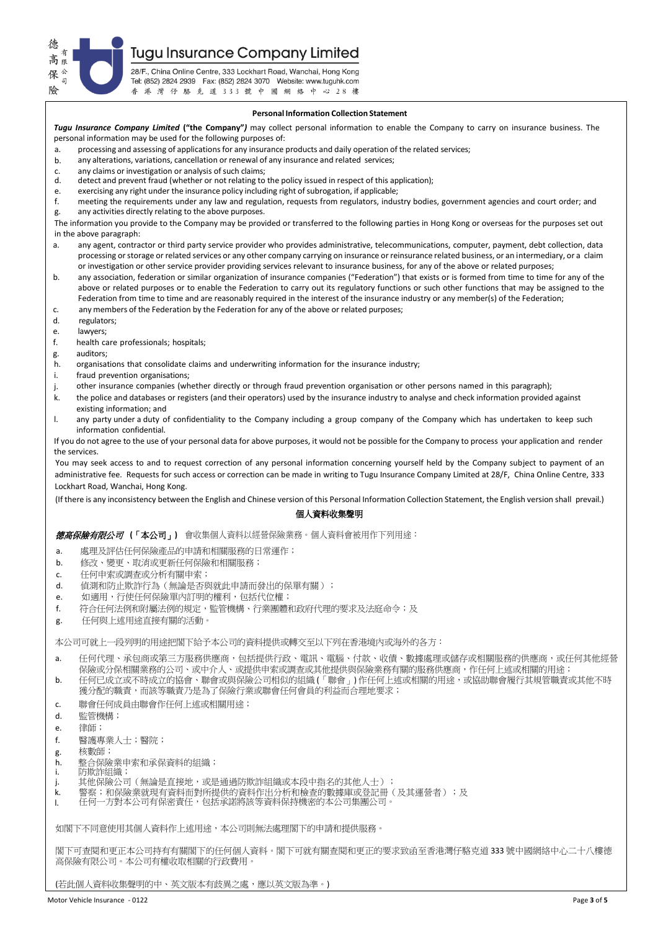**Tugu Insurance Company Limited** 

德 高 保  $\overline{a}$ 險

28/F., China Online Centre, 333 Lockhart Road, Wanchai, Hong Kong Tel: (852) 2824 2939 Fax: (852) 2824 3070 Website: www.tuguhk.com 香港灣仔駱克道333號中國網絡中心28樓

# **Personal Information Collection Statement**

*Tugu Insurance Company Limited* **("the Company"***)* may collect personal information to enable the Company to carry on insurance business. The personal information may be used for the following purposes of:

a. processing and assessing of applications for any insurance products and daily operation of the related services;

- b. any alterations, variations, cancellation or renewal of any insurance and related services;
- c. any claims or investigation or analysis of such claims;<br>d. detect and prevent fraud (whether or not relating to
- detect and prevent fraud (whether or not relating to the policy issued in respect of this application);
- e. exercising any right under the insurance policy including right of subrogation, if applicable;<br>f. meeting the requirements under any law and regulation, requests from regulators, indus
- meeting the requirements under any law and regulation, requests from regulators, industry bodies, government agencies and court order; and g. any activities directly relating to the above purposes.

The information you provide to the Company may be provided or transferred to the following parties in Hong Kong or overseas for the purposes set out in the above paragraph:

- a. any agent, contractor or third party service provider who provides administrative, telecommunications, computer, payment, debt collection, data processing or storage or related services or any other company carrying on insurance or reinsurance related business, or an intermediary, or a claim or investigation or other service provider providing services relevant to insurance business, for any of the above or related purposes;
- b. any association, federation or similar organization of insurance companies ("Federation") that exists or is formed from time to time for any of the above or related purposes or to enable the Federation to carry out its regulatory functions or such other functions that may be assigned to the Federation from time to time and are reasonably required in the interest of the insurance industry or any member(s) of the Federation:
- c. any members of the Federation by the Federation for any of the above or related purposes;<br>d. regulators:
- regulators;
- e. lawyers;<br>f. health ca
- health care professionals; hospitals;
- g. auditors;
- h. organisations that consolidate claims and underwriting information for the insurance industry;
- i. fraud prevention organisations;
- j. other insurance companies (whether directly or through fraud prevention organisation or other persons named in this paragraph);
- k. the police and databases or registers (and their operators) used by the insurance industry to analyse and check information provided against existing information; and
- l. any party under a duty of confidentiality to the Company including a group company of the Company which has undertaken to keep such information confidential.

If you do not agree to the use of your personal data for above purposes, it would not be possible for the Company to process your application and render the services.

You may seek access to and to request correction of any personal information concerning yourself held by the Company subject to payment of an administrative fee. Requests for such access or correction can be made in writing to Tugu Insurance Company Limited at 28/F, China Online Centre, 333 Lockhart Road, Wanchai, Hong Kong.

(If there is any inconsistency between the English and Chinese version of this Personal Information Collection Statement, the English version shall prevail.)

# 個人資料收集聲明

德高保險有限公司**(**「本公司」**)** 會收集個人資料以經營保險業務。個人資料會被用作下列用途:

- a. 處理及評估任何保險產品的申請和相關服務的日常運作;
- b. 修改、變更、取消或更新任何保險和相關服務;
- c. 任何申索或調查或分析有關申索;
- d. 偵測和防止欺詐行為(無論是否與就此申請而發出的保單有關);
- e. 如適用,行使任何保險單內訂明的權利,包括代位權;
- f. 符合任何法例和附屬法例的規定,監管機構、行業團體和政府代理的要求及法庭命令;及
- g. 任何與上述用途直接有關的活動。

本公司可就上一段列明的用途把閣下給予本公司的資料提供或轉交至以下列在香港境內或海外的各方:

- a. 任何代理、承包商或第三方服務供應商,包括提供行政、電訊、電腦、付款、收債、數據處理或儲存或相關服務的供應商,或任何其他經營 保險或分保相關業務的公司、或中介人、或提供申索或調查或其他提供與保險業務有關的服務供應商,作任何上述或相關的用途;
- b. 任何已成立或不時成立的協會、聯會或與保險公司相似的組織 (「聯會」) 作任何上述或相關的用途,或協助聯會履行其規管職責或其他不時 獲分配的職責,而該等職責乃是為了保險行業或聯會任何會員的利益而合理地要求;
- c. 聯會任何成員由聯會作任何上述或相關用途;
- d. 監管機構;
- e. 律師;
- f. 醫護專業人士;醫院;
- g. 核數師;
- h. 整合保險業申索和承保資料的組織;
- 防欺詐組織;
- j. 其他保險公司(無論是直接地,或是通過防欺詐組織或本段中指名的其他人士);
- .<br>k. 警察;和保險業就現有資料而對所提供的資料作出分析和檢查的數據庫或登記冊(及其運營者);及<br>1. 任何一方對本公司有保密責任,包括承諾將該等資料保持機密的本公司集團公司。
- l. 任何一方對本公司有保密責任,包括承諾將該等資料保持機密的本公司集團公司。

如閣下不同意使用其個人資料作上述用途,本公司則無法處理閣下的申請和提供服務。

閣下可查閱和更正本公司持有有關閣下的任何個人資料。閣下可就有關查閱和更正的要求致函至香港灣仔駱克道 333 號中國網絡中心二十八樓德 高保險有限公司。本公司有權收取相關的行政費用

(若此個人資料收集聲明的中、英文版本有歧異之處,應以英文版為準。)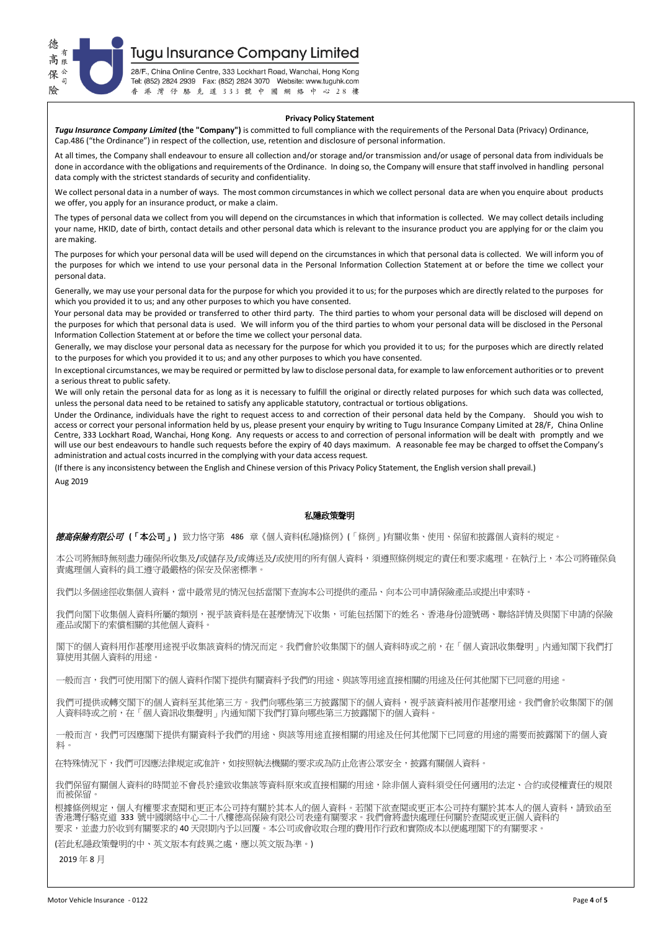

**Tugu Insurance Company Limited** 

28/F., China Online Centre, 333 Lockhart Road, Wanchai, Hong Kong Tel: (852) 2824 2939 Fax: (852) 2824 3070 Website: www.tuguhk.com 香港灣仔駱克道333號中國網絡中心28樓

#### **Privacy Policy Statement**

*Tugu Insurance Company Limited* **(the "Company")** is committed to full compliance with the requirements of the Personal Data (Privacy) Ordinance, Cap.486 ("the Ordinance") in respect of the collection, use, retention and disclosure of personal information.

At all times, the Company shall endeavour to ensure all collection and/or storage and/or transmission and/or usage of personal data from individuals be done in accordance with the obligations and requirements of the Ordinance. In doing so, the Company will ensure that staff involved in handling personal data comply with the strictest standards of security and confidentiality.

We collect personal data in a number of ways. The most common circumstances in which we collect personal data are when you enquire about products we offer, you apply for an insurance product, or make a claim.

The types of personal data we collect from you will depend on the circumstances in which that information is collected. We may collect details including your name, HKID, date of birth, contact details and other personal data which is relevant to the insurance product you are applying for or the claim you are making.

The purposes for which your personal data will be used will depend on the circumstances in which that personal data is collected. We will inform you of the purposes for which we intend to use your personal data in the Personal Information Collection Statement at or before the time we collect your personal data.

Generally, we may use your personal data for the purpose for which you provided it to us; for the purposes which are directly related to the purposes for which you provided it to us; and any other purposes to which you have consented.

Your personal data may be provided or transferred to other third party. The third parties to whom your personal data will be disclosed will depend on the purposes for which that personal data is used. We will inform you of the third parties to whom your personal data will be disclosed in the Personal Information Collection Statement at or before the time we collect your personal data.

Generally, we may disclose your personal data as necessary for the purpose for which you provided it to us; for the purposes which are directly related to the purposes for which you provided it to us; and any other purposes to which you have consented.

In exceptional circumstances, we may be required or permitted by law to disclose personal data, for example to law enforcement authorities or to prevent a serious threat to public safety.

We will only retain the personal data for as long as it is necessary to fulfill the original or directly related purposes for which such data was collected, unless the personal data need to be retained to satisfy any applicable statutory, contractual or tortious obligations.

Under the Ordinance, individuals have the right to request access to and correction of their personal data held by the Company. Should you wish to access or correct your personal information held by us, please present your enquiry by writing to Tugu Insurance Company Limited at 28/F, China Online Centre, 333 Lockhart Road, Wanchai, Hong Kong. Any requests or access to and correction of personal information will be dealt with promptly and we will use our best endeavours to handle such requests before the expiry of 40 days maximum. A reasonable fee may be charged to offset the Company's administration and actual costs incurred in the complying with your data access request.

(If there is any inconsistency between the English and Chinese version of this Privacy Policy Statement, the English version shall prevail.) Aug 2019

# 私隱政策聲明

德高保險有限公司 **(**「本公司」**)** 致力恪守第 486 章《個人資料(私隱)條例》(「條例」)有關收集、使用、保留和披露個人資料的規定。

本公司將無時無刻盡力確保所收集及/或儲存及/或傳送及/或使用的所有個人資料,須遵照條例規定的責任和要求處理。在執行上,本公司將確保負 責處理個人資料的員工遵守最嚴格的保安及保密標準。

我們以多個途徑收集個人資料,當中最常見的情況包括當閣下查詢本公司提供的產品、向本公司申請保險產品或提出申索時。

我們向閣下收集個人資料所屬的類別,視乎該資料是在甚麼情況下收集,可能包括閣下的姓名、香港身份證號碼、聯絡詳情及與閣下申請的保險 產品或閣下的索償相關的其他個人資料。

閣下的個人資料用作甚麼用途視乎收集該資料的情況而定。我們會於收集閣下的個人資料時或之前,在「個人資訊收集聲明」內通知閣下我們打 算使用其個人資料的用途。

-般而言,我們可使用閣下的個人資料作閣下提供有關資料予我們的用途、與該等用途直接相關的用途及任何其他閣下已同意的用途。

我們可提供或轉交閣下的個人資料至其他第三方。我們向哪些第三方披露閣下的個人資料,視乎該資料被用作甚麼用途。我們會於收集閣下的個 人資料時或之前,在「個人資訊收集聲明」內通知閣下我們打算向哪些第三方披露閣下的個人資料。

一般而言,我們可因應閣下提供有關資料予我們的用途、與該等用途直接相關的用途及任何其他閣下已同意的用途的需要而披露閣下的個人資 料。

在特殊情況下,我們可因應法律規定或准許,如按照執法機關的要求或為防止危害公眾安全,披露有關個人資料。

我們保留有關個人資料的時間並不會長於達致收集該等資料原來或直接相關的用途,除非個人資料須受任何適用的法定、合約或侵權責任的規限 而被保留。

根據條例規定,個人有權要求查閱和更正本公司持有關於其本人的個人資料。若閣下欲查閱或更正本公司持有關於其本人的個人資料,請致函至 香港灣仔駱克道 333 號中國網絡中心二十八樓德高保險有限公司表達有關要求。我們會將盡快處理任何關於查閱或更正個人資料的 要求,並盡力於收到有關要求的 40 天限期內予以回覆。本公司或會收取合理的費用作行政和實際成本以便處理閣下的有關要求。

(若此私隱政策聲明的中、英文版本有歧異之處,應以英文版為準。)

2019 年 8 月